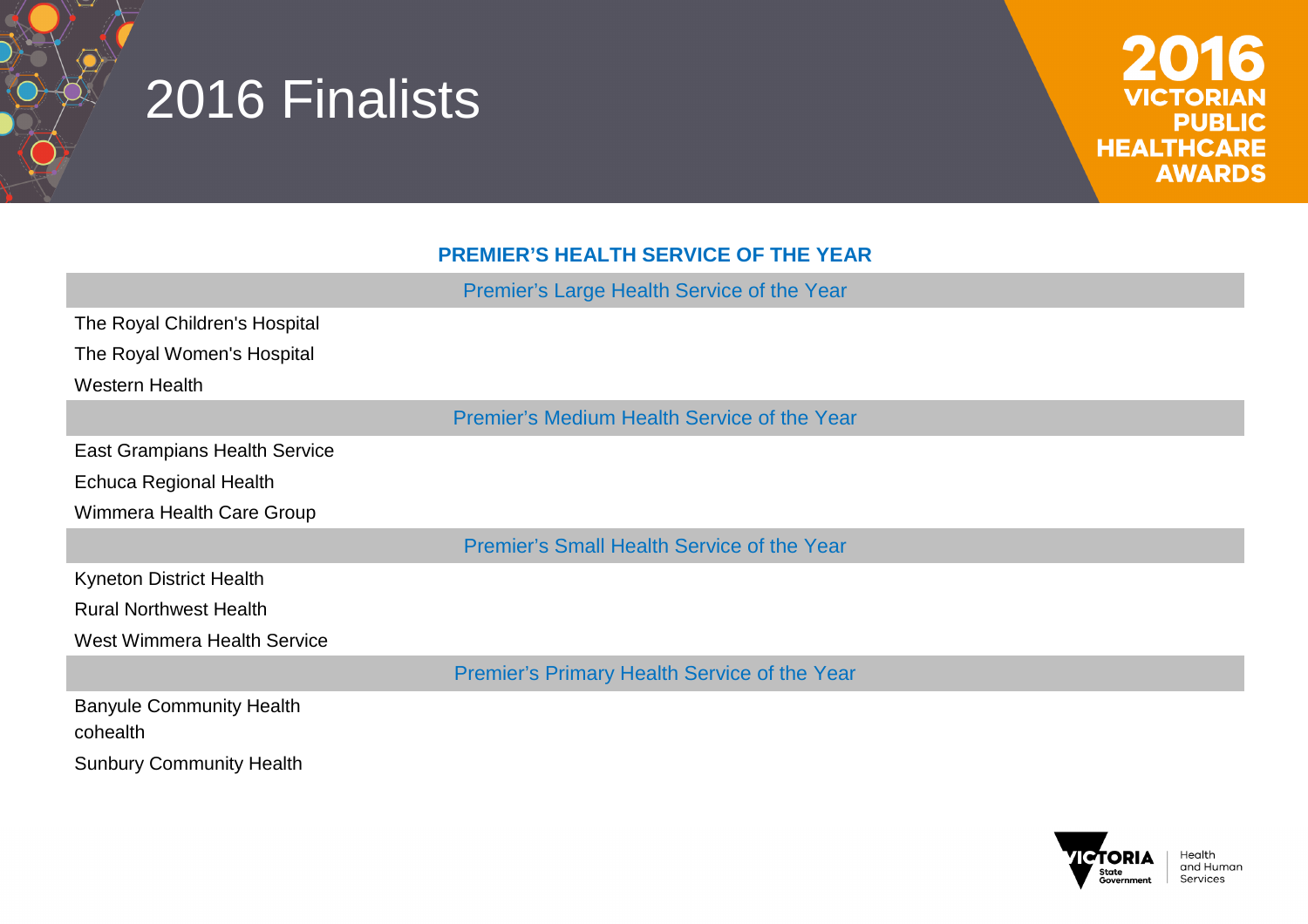

## **PREMIER'S HEALTH SERVICE OF THE YEAR**

|                                             | Premier's Large Health Service of the Year         |
|---------------------------------------------|----------------------------------------------------|
| The Royal Children's Hospital               |                                                    |
| The Royal Women's Hospital                  |                                                    |
| <b>Western Health</b>                       |                                                    |
|                                             | <b>Premier's Medium Health Service of the Year</b> |
| <b>East Grampians Health Service</b>        |                                                    |
| <b>Echuca Regional Health</b>               |                                                    |
| Wimmera Health Care Group                   |                                                    |
|                                             | <b>Premier's Small Health Service of the Year</b>  |
| <b>Kyneton District Health</b>              |                                                    |
| <b>Rural Northwest Health</b>               |                                                    |
| <b>West Wimmera Health Service</b>          |                                                    |
|                                             | Premier's Primary Health Service of the Year       |
| <b>Banyule Community Health</b><br>cohealth |                                                    |
| <b>Sunbury Community Health</b>             |                                                    |

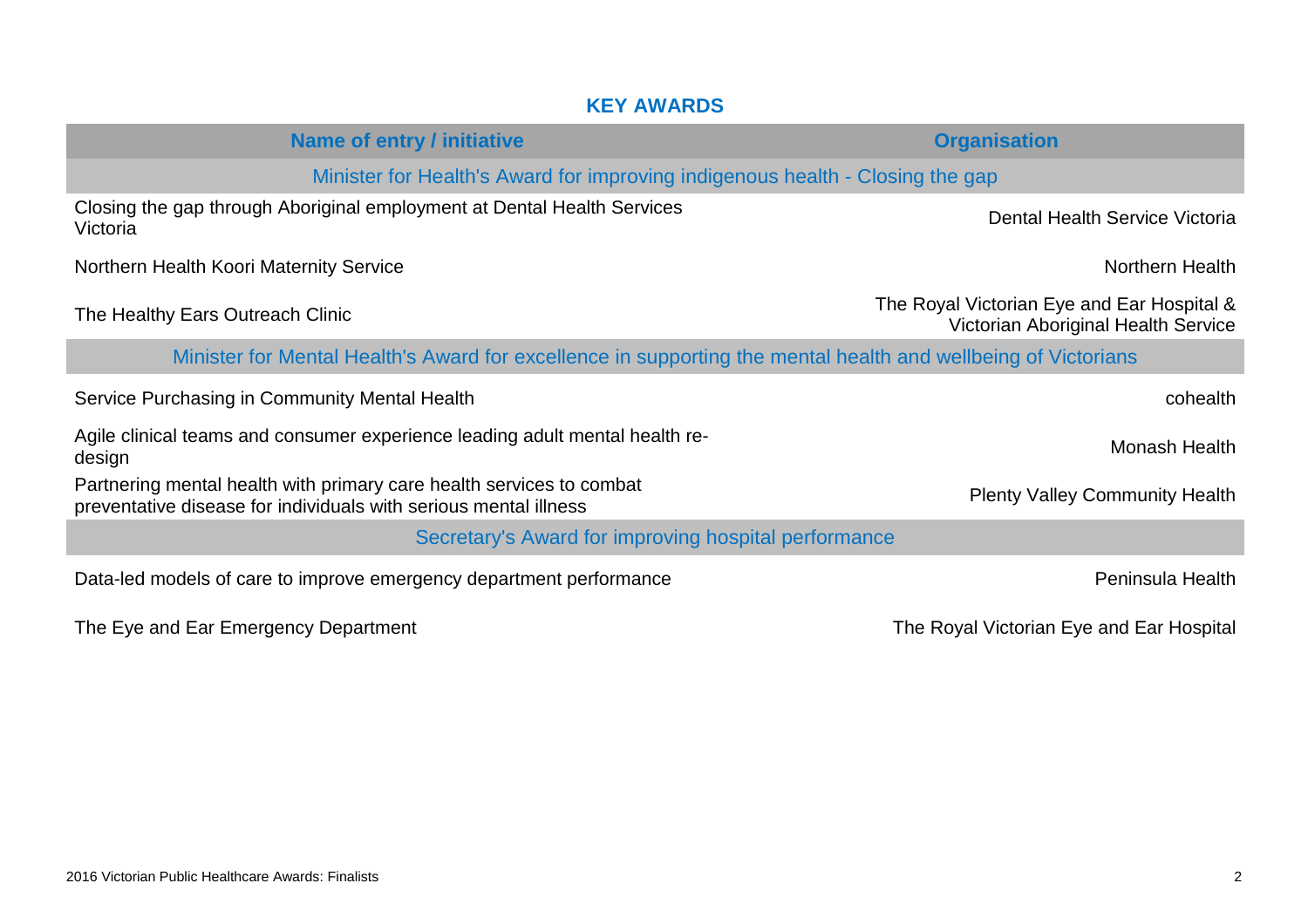| <b>KEY AWARDS</b>                                                                                                                        |                                                                                   |  |  |
|------------------------------------------------------------------------------------------------------------------------------------------|-----------------------------------------------------------------------------------|--|--|
| <b>Name of entry / initiative</b>                                                                                                        | <b>Organisation</b>                                                               |  |  |
| Minister for Health's Award for improving indigenous health - Closing the gap                                                            |                                                                                   |  |  |
| Closing the gap through Aboriginal employment at Dental Health Services<br>Victoria                                                      | Dental Health Service Victoria                                                    |  |  |
| Northern Health Koori Maternity Service                                                                                                  | Northern Health                                                                   |  |  |
| The Healthy Ears Outreach Clinic                                                                                                         | The Royal Victorian Eye and Ear Hospital &<br>Victorian Aboriginal Health Service |  |  |
| Minister for Mental Health's Award for excellence in supporting the mental health and wellbeing of Victorians                            |                                                                                   |  |  |
| Service Purchasing in Community Mental Health                                                                                            | cohealth                                                                          |  |  |
| Agile clinical teams and consumer experience leading adult mental health re-<br>design                                                   | <b>Monash Health</b>                                                              |  |  |
| Partnering mental health with primary care health services to combat<br>preventative disease for individuals with serious mental illness | <b>Plenty Valley Community Health</b>                                             |  |  |
| Secretary's Award for improving hospital performance                                                                                     |                                                                                   |  |  |
| Data-led models of care to improve emergency department performance                                                                      | Peninsula Health                                                                  |  |  |

The Eye and Ear Emergency Department The Royal Victorian Eye and Ear Hospital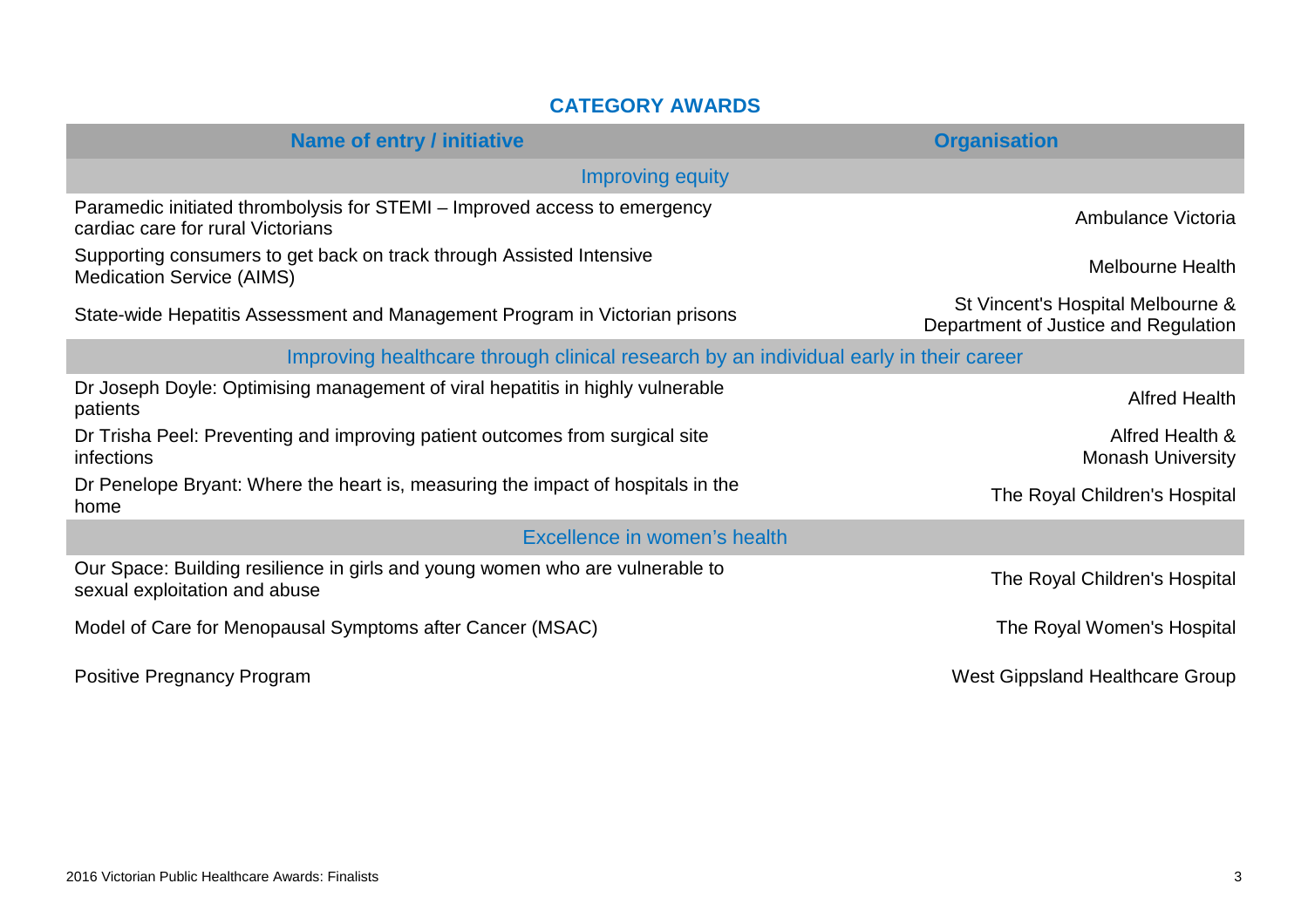## **CATEGORY AWARDS**

| <b>Name of entry / initiative</b>                                                                              | <b>Organisation</b>                                                       |
|----------------------------------------------------------------------------------------------------------------|---------------------------------------------------------------------------|
| Improving equity                                                                                               |                                                                           |
| Paramedic initiated thrombolysis for STEMI - Improved access to emergency<br>cardiac care for rural Victorians | Ambulance Victoria                                                        |
| Supporting consumers to get back on track through Assisted Intensive<br><b>Medication Service (AIMS)</b>       | <b>Melbourne Health</b>                                                   |
| State-wide Hepatitis Assessment and Management Program in Victorian prisons                                    | St Vincent's Hospital Melbourne &<br>Department of Justice and Regulation |
| Improving healthcare through clinical research by an individual early in their career                          |                                                                           |
| Dr Joseph Doyle: Optimising management of viral hepatitis in highly vulnerable<br>patients                     | <b>Alfred Health</b>                                                      |
| Dr Trisha Peel: Preventing and improving patient outcomes from surgical site<br>infections                     | Alfred Health &<br><b>Monash University</b>                               |
| Dr Penelope Bryant: Where the heart is, measuring the impact of hospitals in the<br>home                       | The Royal Children's Hospital                                             |
| Excellence in women's health                                                                                   |                                                                           |
| Our Space: Building resilience in girls and young women who are vulnerable to<br>sexual exploitation and abuse | The Royal Children's Hospital                                             |
| Model of Care for Menopausal Symptoms after Cancer (MSAC)                                                      | The Royal Women's Hospital                                                |
| <b>Positive Pregnancy Program</b>                                                                              | West Gippsland Healthcare Group                                           |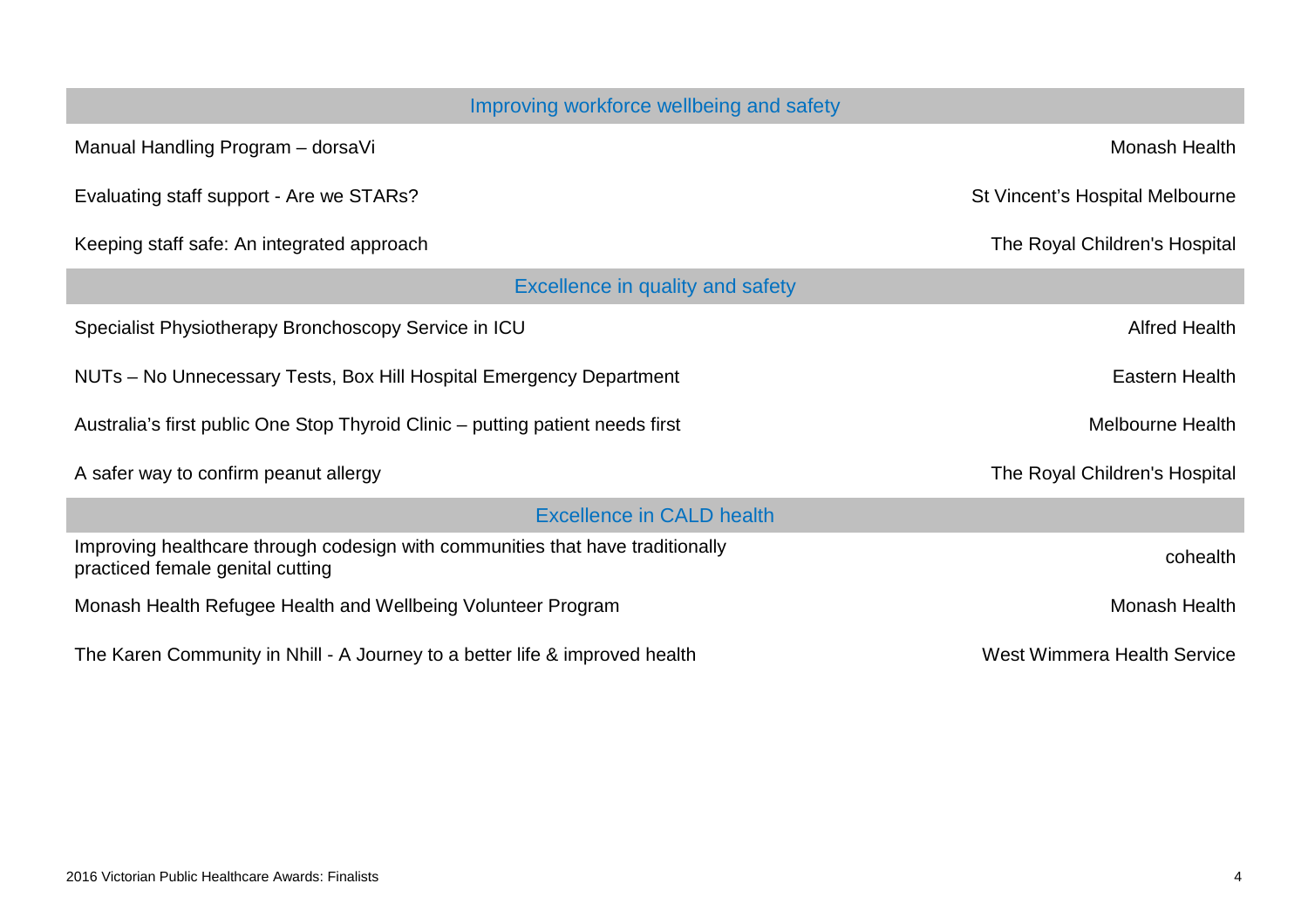| Improving workforce wellbeing and safety                                                                           |                                 |  |  |  |
|--------------------------------------------------------------------------------------------------------------------|---------------------------------|--|--|--|
| Manual Handling Program - dorsaVi                                                                                  | <b>Monash Health</b>            |  |  |  |
| Evaluating staff support - Are we STARs?                                                                           | St Vincent's Hospital Melbourne |  |  |  |
| Keeping staff safe: An integrated approach                                                                         | The Royal Children's Hospital   |  |  |  |
| Excellence in quality and safety                                                                                   |                                 |  |  |  |
| Specialist Physiotherapy Bronchoscopy Service in ICU                                                               | <b>Alfred Health</b>            |  |  |  |
| NUTs - No Unnecessary Tests, Box Hill Hospital Emergency Department                                                | Eastern Health                  |  |  |  |
| Australia's first public One Stop Thyroid Clinic – putting patient needs first                                     | <b>Melbourne Health</b>         |  |  |  |
| A safer way to confirm peanut allergy                                                                              | The Royal Children's Hospital   |  |  |  |
| <b>Excellence in CALD health</b>                                                                                   |                                 |  |  |  |
| Improving healthcare through codesign with communities that have traditionally<br>practiced female genital cutting | cohealth                        |  |  |  |
| Monash Health Refugee Health and Wellbeing Volunteer Program                                                       | Monash Health                   |  |  |  |
| The Karen Community in Nhill - A Journey to a better life & improved health                                        | West Wimmera Health Service     |  |  |  |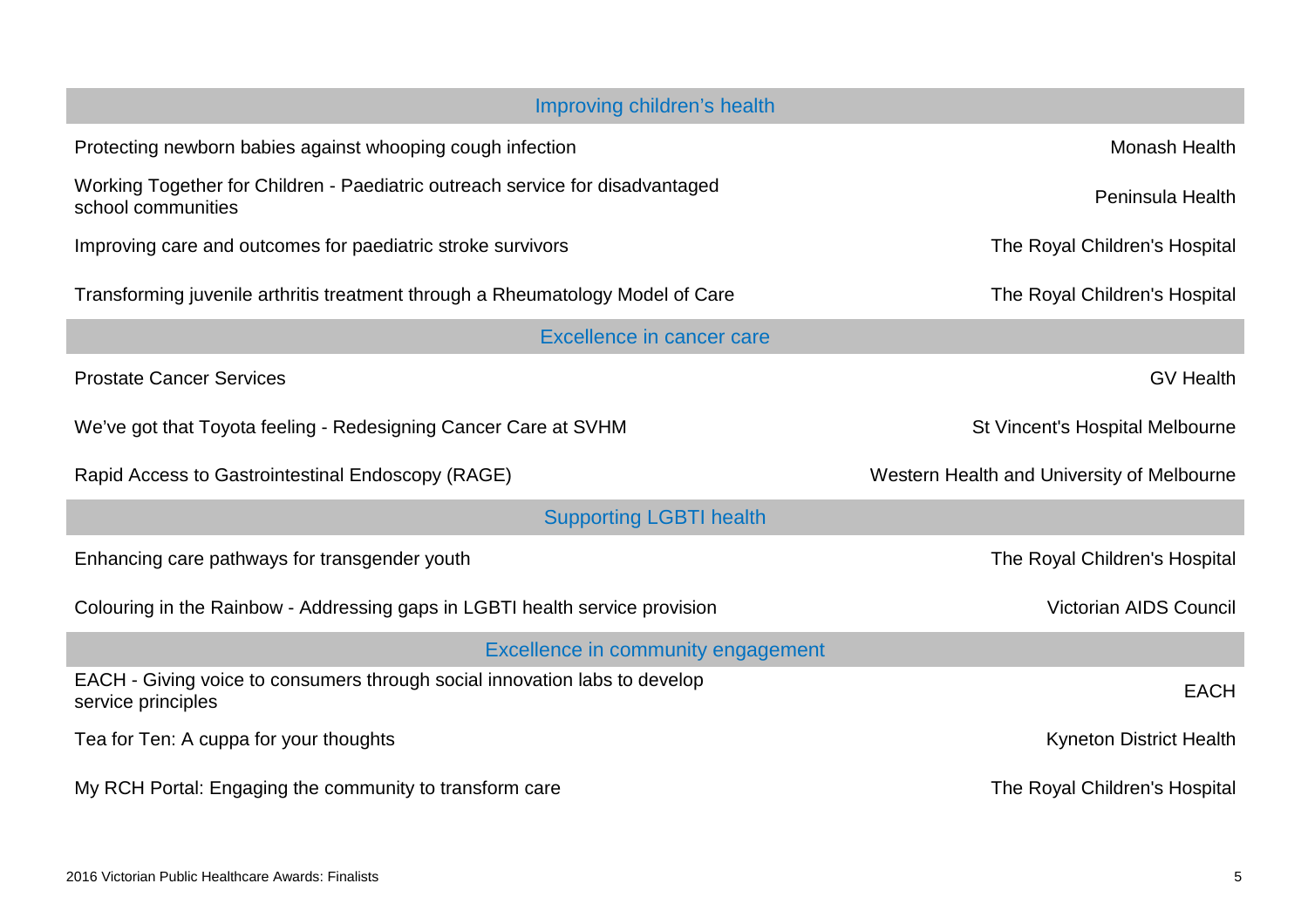| Improving children's health                                                                         |                                            |
|-----------------------------------------------------------------------------------------------------|--------------------------------------------|
| Protecting newborn babies against whooping cough infection                                          | Monash Health                              |
| Working Together for Children - Paediatric outreach service for disadvantaged<br>school communities | Peninsula Health                           |
| Improving care and outcomes for paediatric stroke survivors                                         | The Royal Children's Hospital              |
| Transforming juvenile arthritis treatment through a Rheumatology Model of Care                      | The Royal Children's Hospital              |
| Excellence in cancer care                                                                           |                                            |
| <b>Prostate Cancer Services</b>                                                                     | <b>GV Health</b>                           |
| We've got that Toyota feeling - Redesigning Cancer Care at SVHM                                     | St Vincent's Hospital Melbourne            |
|                                                                                                     |                                            |
| Rapid Access to Gastrointestinal Endoscopy (RAGE)                                                   | Western Health and University of Melbourne |
| <b>Supporting LGBTI health</b>                                                                      |                                            |
| Enhancing care pathways for transgender youth                                                       | The Royal Children's Hospital              |
| Colouring in the Rainbow - Addressing gaps in LGBTI health service provision                        | Victorian AIDS Council                     |
| Excellence in community engagement                                                                  |                                            |
| EACH - Giving voice to consumers through social innovation labs to develop<br>service principles    | <b>EACH</b>                                |
| Tea for Ten: A cuppa for your thoughts                                                              | <b>Kyneton District Health</b>             |